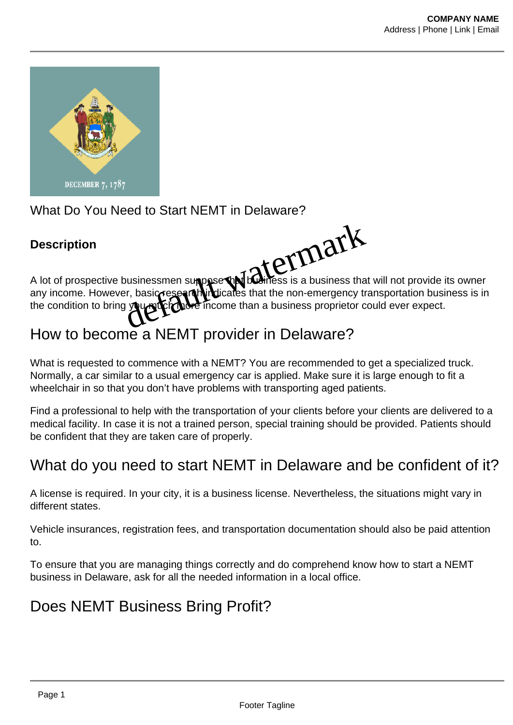

### What Do You Need to Start NEMT in Delaware?

#### **Description**



A lot of prospective businessmen suppose that business is a business that will not provide its owner any income. However, basic research indicates that the non-emergency transportation business is in the condition to bring you with more income than a business proprietor could ever expect.

# How to become a NEMT provider in Delaware?

What is requested to commence with a NEMT? You are recommended to get a specialized truck. Normally, a car similar to a usual emergency car is applied. Make sure it is large enough to fit a wheelchair in so that you don't have problems with transporting aged patients.

Find a professional to help with the transportation of your clients before your clients are delivered to a medical facility. In case it is not a trained person, special training should be provided. Patients should be confident that they are taken care of properly.

## What do you need to start NEMT in Delaware and be confident of it?

A license is required. In your city, it is a business license. Nevertheless, the situations might vary in different states.

Vehicle insurances, registration fees, and transportation documentation should also be paid attention to.

To ensure that you are managing things correctly and do comprehend know how to start a NEMT business in Delaware, ask for all the needed information in a local office.

### Does NEMT Business Bring Profit?